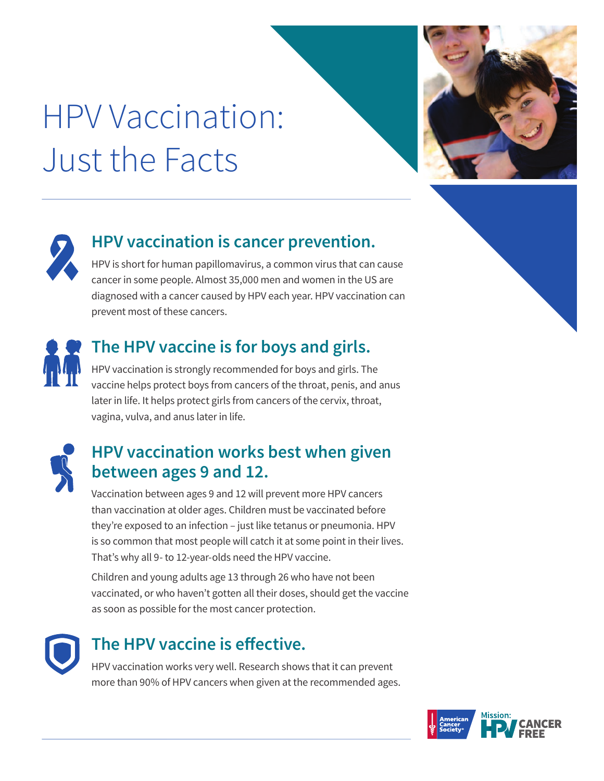# HPV Vaccination: Just the Facts





#### **HPV vaccination is cancer prevention.**

HPV is short for human papillomavirus, a common virus that can cause cancer in some people. Almost 35,000 men and women in the US are diagnosed with a cancer caused by HPV each year. HPV vaccination can prevent most of these cancers.



#### **The HPV vaccine is for boys and girls.**

HPV vaccination is strongly recommended for boys and girls. The vaccine helps protect boys from cancers of the throat, penis, and anus later in life. It helps protect girls from cancers of the cervix, throat, vagina, vulva, and anus later in life.



#### **HPV vaccination works best when given between ages 9 and 12.**

Vaccination between ages 9 and 12 will prevent more HPV cancers than vaccination at older ages. Children must be vaccinated before they're exposed to an infection – just like tetanus or pneumonia. HPV is so common that most people will catch it at some point in their lives. That's why all 9- to 12-year-olds need the HPV vaccine.

Children and young adults age 13 through 26 who have not been vaccinated, or who haven't gotten all their doses, should get the vaccine as soon as possible for the most cancer protection.



#### **The HPV vaccine is effective.**

HPV vaccination works very well. Research shows that it can prevent more than 90% of HPV cancers when given at the recommended ages.